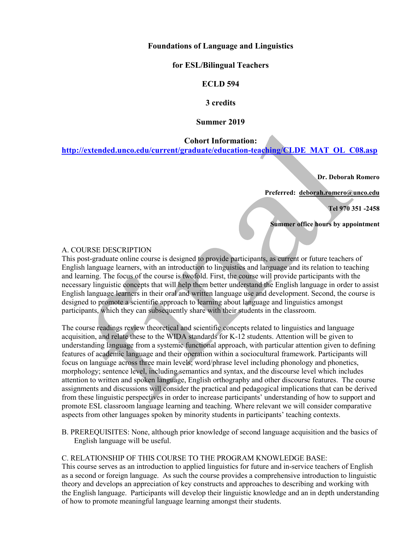# **Foundations of Language and Linguistics**

## **for ESL/Bilingual Teachers**

# **ECLD 594**

## **3 credits**

## **Summer 2019**

**Cohort Information:**

**[http://extended.unco.edu/current/graduate/education-teaching/CLDE\\_MAT\\_OL\\_C08.asp](http://extended.unco.edu/current/graduate/education-teaching/CLDE_MAT_OL_C08.asp)**

**Dr. Deborah Romero** 

**Preferred: [deborah.romero@unco.edu](mailto:deborah.romero@unco.edu)**

**Tel 970 351 -2458**

**Summer office hours by appointment** 

## A. COURSE DESCRIPTION

This post-graduate online course is designed to provide participants, as current or future teachers of English language learners, with an introduction to linguistics and language and its relation to teaching and learning. The focus of the course is twofold. First, the course will provide participants with the necessary linguistic concepts that will help them better understand the English language in order to assist English language learners in their oral and written language use and development. Second, the course is designed to promote a scientific approach to learning about language and linguistics amongst participants, which they can subsequently share with their students in the classroom.

The course readings review theoretical and scientific concepts related to linguistics and language acquisition, and relate these to the WIDA standards for K-12 students. Attention will be given to understanding language from a systemic functional approach, with particular attention given to defining features of academic language and their operation within a sociocultural framework. Participants will focus on language across three main levels; word/phrase level including phonology and phonetics, morphology; sentence level, including semantics and syntax, and the discourse level which includes attention to written and spoken language, English orthography and other discourse features. The course assignments and discussions will consider the practical and pedagogical implications that can be derived from these linguistic perspectives in order to increase participants' understanding of how to support and promote ESL classroom language learning and teaching. Where relevant we will consider comparative aspects from other languages spoken by minority students in participants' teaching contexts.

B. PREREQUISITES: None, although prior knowledge of second language acquisition and the basics of English language will be useful.

# C. RELATIONSHIP OF THIS COURSE TO THE PROGRAM KNOWLEDGE BASE:

This course serves as an introduction to applied linguistics for future and in-service teachers of English as a second or foreign language. As such the course provides a comprehensive introduction to linguistic theory and develops an appreciation of key constructs and approaches to describing and working with the English language. Participants will develop their linguistic knowledge and an in depth understanding of how to promote meaningful language learning amongst their students.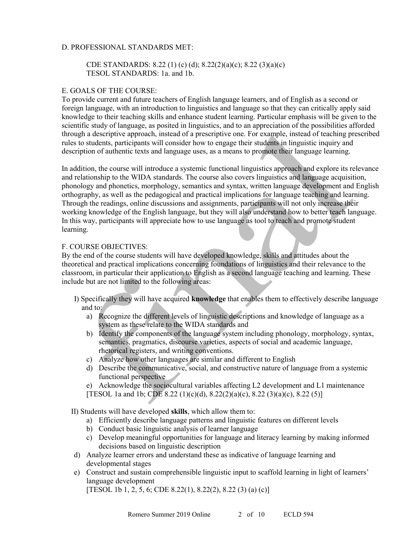## D. PROFESSIONAL STANDARDS MET:

## CDE STANDARDS: 8.22 (1) (c) (d); 8.22(2)(a)(c); 8.22 (3)(a)(c) TESOL STANDARDS: 1a. and 1b.

## E. GOALS OF THE COURSE:

To provide current and future teachers of English language learners, and of English as a second or foreign language, with an introduction to linguistics and language so that they can critically apply said knowledge to their teaching skills and enhance student learning. Particular emphasis will be given to the scientific study of language, as posited in linguistics, and to an appreciation of the possibilities afforded through a descriptive approach, instead of a prescriptive one. For example, instead of teaching prescribed rules to students, participants will consider how to engage their students in linguistic inquiry and description of authentic texts and language uses, as a means to promote their language learning.

In addition, the course will introduce a systemic functional linguistics approach and explore its relevance and relationship to the WIDA standards. The course also covers linguistics and language acquisition, phonology and phonetics, morphology, semantics and syntax, written language development and English orthography, as well as the pedagogical and practical implications for language teaching and learning. Through the readings, online discussions and assignments, participants will not only increase their working knowledge of the English language, but they will also understand how to better teach language. In this way, participants will appreciate how to use language as tool to teach and promote student learning.

#### F. COURSE OBJECTIVES:

By the end of the course students will have developed knowledge, skills and attitudes about the theoretical and practical implications concerning foundations of linguistics and their relevance to the classroom, in particular their application to English as a second language teaching and learning. These include but are not limited to the following areas:

- I) Specifically they will have acquired **knowledge** that enables them to effectively describe language and to:
	- a) Recognize the different levels of linguistic descriptions and knowledge of language as a system as these relate to the WIDA standards and
	- b) Identify the components of the language system including phonology, morphology, syntax, semantics, pragmatics, discourse varieties, aspects of social and academic language, rhetorical registers, and writing conventions.
	- c) Analyze how other languages are similar and different to English
	- d) Describe the communicative, social, and constructive nature of language from a systemic functional perspective
	- e) Acknowledge the sociocultural variables affecting L2 development and L1 maintenance
	- [TESOL 1a and 1b; CDE 8.22 (1)(c)(d), 8.22(2)(a)(c), 8.22 (3)(a)(c), 8.22 (5)]

II) Students will have developed **skills**, which allow them to:

- a) Efficiently describe language patterns and linguistic features on different levels
- b) Conduct basic linguistic analysis of learner language
- c) Develop meaningful opportunities for language and literacy learning by making informed decisions based on linguistic description
- d) Analyze learner errors and understand these as indicative of language learning and developmental stages
- e) Construct and sustain comprehensible linguistic input to scaffold learning in light of learners' language development

[TESOL 1b 1, 2, 5, 6; CDE 8.22(1), 8.22(2), 8.22(3) (a) (c)]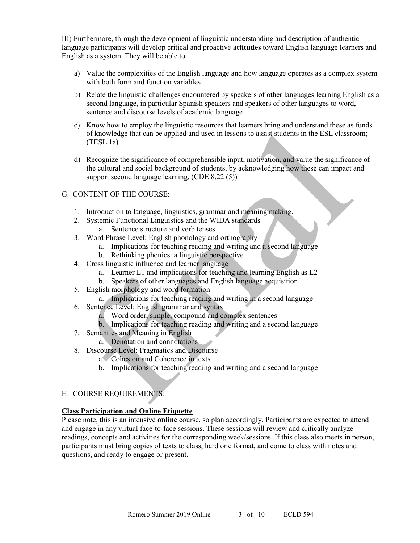III) Furthermore, through the development of linguistic understanding and description of authentic language participants will develop critical and proactive **attitudes** toward English language learners and English as a system. They will be able to:

- a) Value the complexities of the English language and how language operates as a complex system with both form and function variables
- b) Relate the linguistic challenges encountered by speakers of other languages learning English as a second language, in particular Spanish speakers and speakers of other languages to word, sentence and discourse levels of academic language
- c) Know how to employ the linguistic resources that learners bring and understand these as funds of knowledge that can be applied and used in lessons to assist students in the ESL classroom; (TESL 1a)
- d) Recognize the significance of comprehensible input, motivation, and value the significance of the cultural and social background of students, by acknowledging how these can impact and support second language learning. (CDE 8.22 (5))

## G. CONTENT OF THE COURSE:

- 1. Introduction to language, linguistics, grammar and meaning making.
- 2. Systemic Functional Linguistics and the WIDA standards
	- a. Sentence structure and verb tenses
- 3. Word Phrase Level: English phonology and orthography
	- a. Implications for teaching reading and writing and a second language
	- b. Rethinking phonics: a linguistic perspective
- 4. Cross linguistic influence and learner language
	- a. Learner L1 and implications for teaching and learning English as L2
	- b. Speakers of other languages and English language acquisition
- 5. English morphology and word formation
	- a. Implications for teaching reading and writing in a second language
- 6. Sentence Level: English grammar and syntax
	- a. Word order, simple, compound and complex sentences
	- b. Implications for teaching reading and writing and a second language
- 7. Semantics and Meaning in English
	- a. Denotation and connotations
- 8. Discourse Level: Pragmatics and Discourse
	- a. Cohesion and Coherence in texts
	- b. Implications for teaching reading and writing and a second language

## H. COURSE REQUIREMENTS:

## **Class Participation and Online Etiquette**

Please note, this is an intensive **online** course, so plan accordingly. Participants are expected to attend and engage in any virtual face-to-face sessions. These sessions will review and critically analyze readings, concepts and activities for the corresponding week/sessions. If this class also meets in person, participants must bring copies of texts to class, hard or e format, and come to class with notes and questions, and ready to engage or present.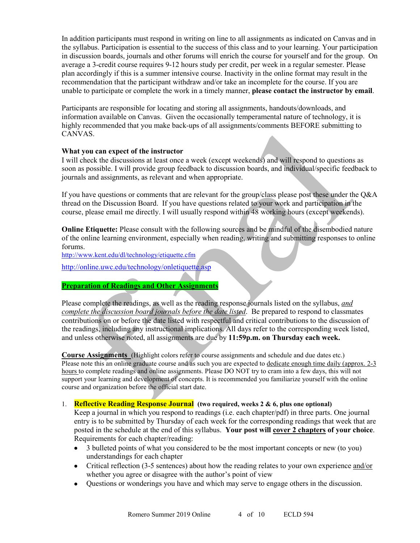In addition participants must respond in writing on line to all assignments as indicated on Canvas and in the syllabus. Participation is essential to the success of this class and to your learning. Your participation in discussion boards, journals and other forums will enrich the course for yourself and for the group. On average a 3-credit course requires 9-12 hours study per credit, per week in a regular semester. Please plan accordingly if this is a summer intensive course. Inactivity in the online format may result in the recommendation that the participant withdraw and/or take an incomplete for the course. If you are unable to participate or complete the work in a timely manner, **please contact the instructor by email**.

Participants are responsible for locating and storing all assignments, handouts/downloads, and information available on Canvas. Given the occasionally temperamental nature of technology, it is highly recommended that you make back-ups of all assignments/comments BEFORE submitting to CANVAS.

## **What you can expect of the instructor**

I will check the discussions at least once a week (except weekends) and will respond to questions as soon as possible. I will provide group feedback to discussion boards, and individual/specific feedback to journals and assignments, as relevant and when appropriate.

If you have questions or comments that are relevant for the group/class please post these under the Q&A thread on the Discussion Board. If you have questions related to your work and participation in the course, please email me directly. I will usually respond within 48 working hours (except weekends).

**Online Etiquette:** Please consult with the following sources and be mindful of the disembodied nature of the online learning environment, especially when reading, writing and submitting responses to online forums.

<http://www.kent.edu/dl/technology/etiquette.cfm>

<http://online.uwc.edu/technology/onletiquette.asp>

# **Preparation of Readings and Other Assignments**

Please complete the readings, as well as the reading response journals listed on the syllabus, *and complete the discussion board journals before the date listed*. Be prepared to respond to classmates contributions on or before the date listed with respectful and critical contributions to the discussion of the readings, including any instructional implications. All days refer to the corresponding week listed, and unless otherwise noted, all assignments are due by **11:59p.m. on Thursday each week.**

**Course Assignments** (Highlight colors refer to course assignments and schedule and due dates etc.) Please note this an online graduate course and as such you are expected to dedicate enough time daily (approx. 2-3 hours to complete readings and online assignments. Please DO NOT try to cram into a few days, this will not support your learning and development of concepts. It is recommended you familiarize yourself with the online course and organization before the official start date.

## 1. **Reflective Reading Response Journal (two required, weeks 2 & 6, plus one optional)**

Keep a journal in which you respond to readings (i.e. each chapter/pdf) in three parts. One journal entry is to be submitted by Thursday of each week for the corresponding readings that week that are posted in the schedule at the end of this syllabus. **Your post will cover 2 chapters of your choice**. Requirements for each chapter/reading:

- 3 bulleted points of what you considered to be the most important concepts or new (to you) understandings for each chapter
- Critical reflection (3-5 sentences) about how the reading relates to your own experience and/or whether you agree or disagree with the author's point of view
- Questions or wonderings you have and which may serve to engage others in the discussion.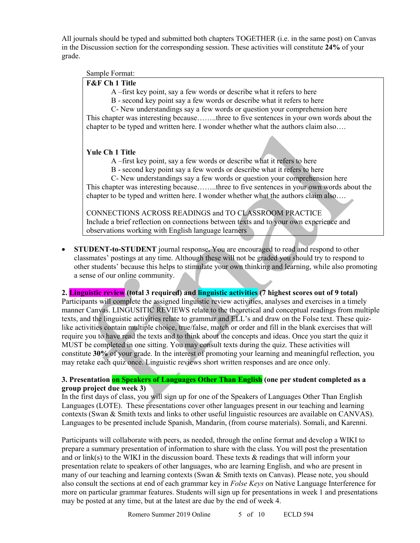All journals should be typed and submitted both chapters TOGETHER (i.e. in the same post) on Canvas in the Discussion section for the corresponding session. These activities will constitute **24%** of your grade.

## Sample Format:

## **F&F Ch 1 Title**

A –first key point, say a few words or describe what it refers to here

B - second key point say a few words or describe what it refers to here

C- New understandings say a few words or question your comprehension here

This chapter was interesting because……..three to five sentences in your own words about the chapter to be typed and written here. I wonder whether what the authors claim also….

# **Yule Ch 1 Title**

A –first key point, say a few words or describe what it refers to here

B - second key point say a few words or describe what it refers to here

C- New understandings say a few words or question your comprehension here This chapter was interesting because……..three to five sentences in your own words about the chapter to be typed and written here. I wonder whether what the authors claim also….

CONNECTIONS ACROSS READINGS and TO CLASSROOM PRACTICE Include a brief reflection on connections between texts and to your own experience and observations working with English language learners

• **STUDENT-to-STUDENT** journal response**.** You are encouraged to read and respond to other classmates' postings at any time. Although these will not be graded you should try to respond to other students' because this helps to stimulate your own thinking and learning, while also promoting a sense of our online community.

**2. Linguistic review (total 3 required) and linguistic activities (7 highest scores out of 9 total)** 

Participants will complete the assigned linguistic review activities, analyses and exercises in a timely manner Canvas. LINGUSITIC REVIEWS relate to the theoretical and conceptual readings from multiple texts, and the linguistic activities relate to grammar and ELL's and draw on the Folse text. These quizlike activities contain multiple choice, true/false, match or order and fill in the blank exercises that will require you to have read the texts and to think about the concepts and ideas. Once you start the quiz it MUST be completed in one sitting. You may consult texts during the quiz. These activities will constitute **30%** of your grade. In the interest of promoting your learning and meaningful reflection, you may retake each quiz once. Linguistic reviews short written responses and are once only.

## **3. Presentation on Speakers of Languages Other Than English (one per student completed as a group project due week 3)**

In the first days of class, you will sign up for one of the Speakers of Languages Other Than English Languages (LOTE). These presentations cover other languages present in our teaching and learning contexts (Swan & Smith texts and links to other useful linguistic resources are available on CANVAS). Languages to be presented include Spanish, Mandarin, (from course materials). Somali, and Karenni.

Participants will collaborate with peers, as needed, through the online format and develop a WIKI to prepare a summary presentation of information to share with the class. You will post the presentation and or link(s) to the WIKI in the discussion board. These texts  $\&$  readings that will inform your presentation relate to speakers of other languages, who are learning English, and who are present in many of our teaching and learning contexts (Swan & Smith texts on Canvas). Please note, you should also consult the sections at end of each grammar key in *Folse Keys* on Native Language Interference for more on particular grammar features. Students will sign up for presentations in week 1 and presentations may be posted at any time, but at the latest are due by the end of week 4.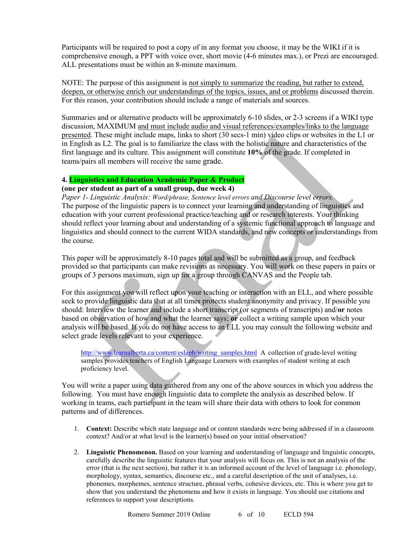Participants will be required to post a copy of in any format you choose, it may be the WIKI if it is comprehensive enough, a PPT with voice over, short movie (4-6 minutes max.), or Prezi are encouraged. ALL presentations must be within an 8-minute maximum.

NOTE: The purpose of this assignment is not simply to summarize the reading, but rather to extend, deepen, or otherwise enrich our understandings of the topics, issues, and or problems discussed therein. For this reason, your contribution should include a range of materials and sources.

Summaries and or alternative products will be approximately 6-10 slides, or 2-3 screens if a WIKI type discussion, MAXIMUM and must include audio and visual references/examples/links to the language presented. These might include maps, links to short (30 secs-1 min) video clips or websites in the L1 or in English as L2. The goal is to familiarize the class with the holistic nature and characteristics of the first language and its culture. This assignment will constitute **10%** of the grade. If completed in teams/pairs all members will receive the same grade.

## **4. Linguistics and Education Academic Paper & Product**

## **(one per student as part of a small group, due week 4)**

*Paper 1- Linguistic Analysis: Word/phrase, Sentence level errors and Discourse level errors.*  The purpose of the linguistic papers is to connect your learning and understanding of linguistics and education with your current professional practice/teaching and or research interests. Your thinking should reflect your learning about and understanding of a systemic functional approach to language and linguistics and should connect to the current WIDA standards, and new concepts or understandings from the course.

This paper will be approximately 8-10 pages total and will be submitted as a group, and feedback provided so that participants can make revisions as necessary. You will work on these papers in pairs or groups of 3 persons maximum, sign up for a group through CANVAS and the People tab.

For this assignment you will reflect upon your teaching or interaction with an ELL, and where possible seek to provide linguistic data that at all times protects student anonymity and privacy. If possible you should: Interview the learner and include a short transcript (or segments of transcripts) and/**or** notes based on observation of how and what the learner says; **or** collect a writing sample upon which your analysis will be based. If you do not have access to an ELL you may consult the following website and select grade levels relevant to your experience.

[http://www.learnalberta.ca/content/eslapb/writing\\_samples.html](http://www.learnalberta.ca/content/eslapb/writing_samples.html) A collection of grade-level writing samples provides teachers of English Language Learners with examples of student writing at each proficiency level.

You will write a paper using data gathered from any one of the above sources in which you address the following. You must have enough linguistic data to complete the analysis as described below. If working in teams, each participant in the team will share their data with others to look for common patterns and of differences.

- 1. **Context:** Describe which state language and or content standards were being addressed if in a classroom context? And/or at what level is the learner(s) based on your initial observation?
- 2. **Linguistic Phenomenon.** Based on your learning and understanding of language and linguistic concepts, carefully describe the linguistic features that your analysis will focus on. This is not an analysis of the error (that is the next section), but rather it is an informed account of the level of language i.e. phonology, morphology, syntax, semantics, discourse etc., and a careful description of the unit of analyses, i.e. phonemes, morphemes, sentence structure, phrasal verbs, cohesive devices, etc. This is where you get to show that you understand the phenomena and how it exists in language. You should use citations and references to support your descriptions.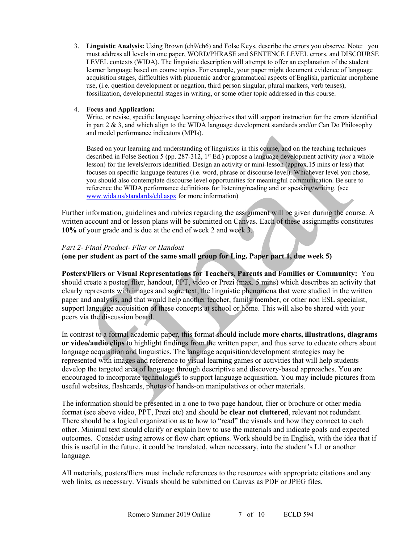3. **Linguistic Analysis:** Using Brown (ch9/ch6) and Folse Keys, describe the errors you observe. Note: you must address all levels in one paper, WORD/PHRASE and SENTENCE LEVEL errors, and DISCOURSE LEVEL contexts (WIDA). The linguistic description will attempt to offer an explanation of the student learner language based on course topics. For example, your paper might document evidence of language acquisition stages, difficulties with phonemic and/or grammatical aspects of English, particular morpheme use, (i.e. question development or negation, third person singular, plural markers, verb tenses), fossilization, developmental stages in writing, or some other topic addressed in this course.

#### 4. **Focus and Application:**

Write, or revise, specific language learning objectives that will support instruction for the errors identified in part  $2 \& 3$ , and which align to the WIDA language development standards and/or Can Do Philosophy and model performance indicators (MPIs).

Based on your learning and understanding of linguistics in this course, and on the teaching techniques described in Folse Section 5 (pp. 287-312, 1<sup>st</sup> Ed.) propose a language development activity *(not* a whole lesson) for the levels/errors identified. Design an activity or mini-lesson (approx.15 mins or less) that focuses on specific language features (i.e. word, phrase or discourse level). Whichever level you chose, you should also contemplate discourse level opportunities for meaningful communication. Be sure to reference the WIDA performance definitions for listening/reading and or speaking/writing. (see [www.wida.us/standards/eld.aspx](http://www.wida.us/standards/eld.aspx) for more information)

Further information, guidelines and rubrics regarding the assignment will be given during the course. A written account and or lesson plans will be submitted on Canvas. Each of these assignments constitutes **10%** of your grade and is due at the end of week 2 and week 3.

## *Part 2- Final Product- Flier or Handout*

## **(one per student as part of the same small group for Ling. Paper part 1, due week 5)**

**Posters/Fliers or Visual Representations for Teachers, Parents and Families or Community:** You should create a poster, flier, handout, PPT, video or Prezi (max. 5 mins) which describes an activity that clearly represents with images and some text, the linguistic phenomena that were studied in the written paper and analysis, and that would help another teacher, family member, or other non ESL specialist, support language acquisition of these concepts at school or home. This will also be shared with your peers via the discussion board.

In contrast to a formal academic paper, this format should include **more charts, illustrations, diagrams or video/audio clips** to highlight findings from the written paper, and thus serve to educate others about language acquisition and linguistics. The language acquisition/development strategies may be represented with images and reference to visual learning games or activities that will help students develop the targeted area of language through descriptive and discovery-based approaches. You are encouraged to incorporate technologies to support language acquisition. You may include pictures from useful websites, flashcards, photos of hands-on manipulatives or other materials.

The information should be presented in a one to two page handout, flier or brochure or other media format (see above video, PPT, Prezi etc) and should be **clear not cluttered**, relevant not redundant. There should be a logical organization as to how to "read" the visuals and how they connect to each other. Minimal text should clarify or explain how to use the materials and indicate goals and expected outcomes. Consider using arrows or flow chart options. Work should be in English, with the idea that if this is useful in the future, it could be translated, when necessary, into the student's L1 or another language.

All materials, posters/fliers must include references to the resources with appropriate citations and any web links, as necessary. Visuals should be submitted on Canvas as PDF or JPEG files.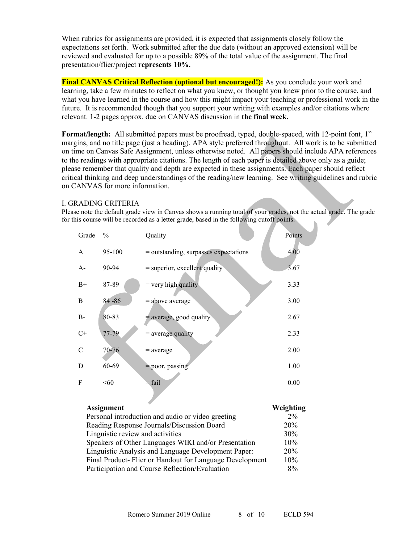When rubrics for assignments are provided, it is expected that assignments closely follow the expectations set forth. Work submitted after the due date (without an approved extension) will be reviewed and evaluated for up to a possible 89% of the total value of the assignment. The final presentation/flier/project **represents 10%.**

**Final CANVAS Critical Reflection (optional but encouraged!):** As you conclude your work and learning, take a few minutes to reflect on what you knew, or thought you knew prior to the course, and what you have learned in the course and how this might impact your teaching or professional work in the future. It is recommended though that you support your writing with examples and/or citations where relevant. 1-2 pages approx. due on CANVAS discussion in **the final week.**

**Format/length:** All submitted papers must be proofread, typed, double-spaced, with 12-point font, 1" margins, and no title page (just a heading), APA style preferred throughout. All work is to be submitted on time on Canvas Safe Assignment, unless otherwise noted. All papers should include APA references to the readings with appropriate citations. The length of each paper is detailed above only as a guide; please remember that quality and depth are expected in these assignments. Each paper should reflect critical thinking and deep understandings of the reading/new learning. See writing guidelines and rubric on CANVAS for more information.

#### I. GRADING CRITERIA

Please note the default grade view in Canvas shows a running total of your grades, not the actual grade. The grade for this course will be recorded as a letter grade, based in the following cutoff points:

| Grade         | $\frac{0}{0}$ | Quality                               | Points |
|---------------|---------------|---------------------------------------|--------|
| A             | 95-100        | = outstanding, surpasses expectations | 4.00   |
| $A -$         | 90-94         | $=$ superior, excellent quality       | 3.67   |
| $B+$          | 87-89         | $=$ very high quality                 | 3.33   |
| B             | $84 - 86$     | $=$ above average                     | 3.00   |
| $B -$         | 80-83         | $=$ average, good quality             | 2.67   |
| $C+$          | 77-79         | $=$ average quality                   | 2.33   |
| $\mathcal{C}$ | 70-76         | $=$ average                           | 2.00   |
| D             | 60-69         | $=$ poor, passing                     | 1.00   |
| F             | <60           | $=$ fail                              | 0.00   |

| <b>Assignment</b>                                       | Weighting |
|---------------------------------------------------------|-----------|
| Personal introduction and audio or video greeting       | 2%        |
| Reading Response Journals/Discussion Board              | 20%       |
| Linguistic review and activities                        | 30%       |
| Speakers of Other Languages WIKI and/or Presentation    | 10%       |
| Linguistic Analysis and Language Development Paper:     | 20%       |
| Final Product-Flier or Handout for Language Development | 10%       |
| Participation and Course Reflection/Evaluation          | 8%        |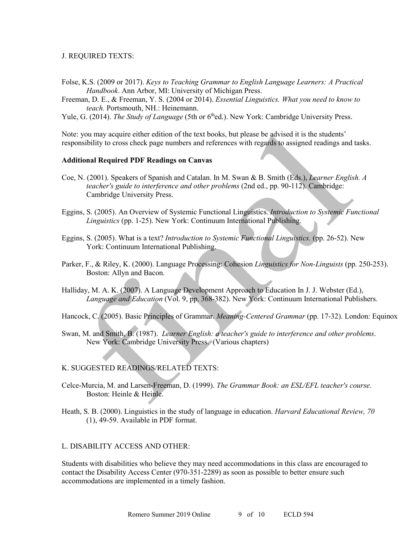## J. REQUIRED TEXTS:

- Folse, K.S. (2009 or 2017). *Keys to Teaching Grammar to English Language Learners: A Practical Handbook*. Ann Arbor, MI: University of Michigan Press.
- Freeman, D. E., & Freeman, Y. S. (2004 or 2014). *Essential Linguistics. What you need to know to teach.* Portsmouth, NH.: Heinemann.
- Yule, G. (2014). *The Study of Language* (5th or 6<sup>th</sup>ed.). New York: Cambridge University Press.

Note: you may acquire either edition of the text books, but please be advised it is the students' responsibility to cross check page numbers and references with regards to assigned readings and tasks.

#### **Additional Required PDF Readings on Canvas**

- Coe, N. (2001). Speakers of Spanish and Catalan. In M. Swan & B. Smith (Eds.), *Learner English. A teacher's guide to interference and other problems* (2nd ed., pp. 90-112). Cambridge: Cambridge University Press.
- Eggins, S. (2005). An Overview of Systemic Functional Linguistics. *Introduction to Systemic Functional Linguistics* (pp. 1-25). New York: Continuum International Publishing.
- Eggins, S. (2005). What is a text? *Introduction to Systemic Functional Linguistics.* (pp. 26-52). New York: Continuum International Publishing.
- Parker, F., & Riley, K. (2000). Language Processing: Cohesion *Linguistics for Non-Linguists* (pp. 250-253). Boston: Allyn and Bacon.
- Halliday, M. A. K. (2007). A Language Development Approach to Education In J. J. Webster (Ed.), *Language and Education* (Vol. 9, pp. 368-382). New York: Continuum International Publishers.

Hancock, C. (2005). Basic Principles of Grammar. *Meaning-Centered Grammar* (pp. 17-32). London: Equinox

Swan, M. and Smith, B. (1987). *Learner English: a teacher's guide to interference and other problems*. New York: Cambridge University Press. (Various chapters)

#### K. SUGGESTED READINGS/RELATED TEXTS:

- Celce-Murcia, M. and Larsen-Freeman, D. (1999). *The Grammar Book: an ESL/EFL teacher's course*. Boston: Heinle & Heinle.
- Heath, S. B. (2000). Linguistics in the study of language in education. *Harvard Educational Review, 70*  (1), 49-59. Available in PDF format.

## L. DISABILITY ACCESS AND OTHER:

Students with disabilities who believe they may need accommodations in this class are encouraged to contact the Disability Access Center (970-351-2289) as soon as possible to better ensure such accommodations are implemented in a timely fashion.